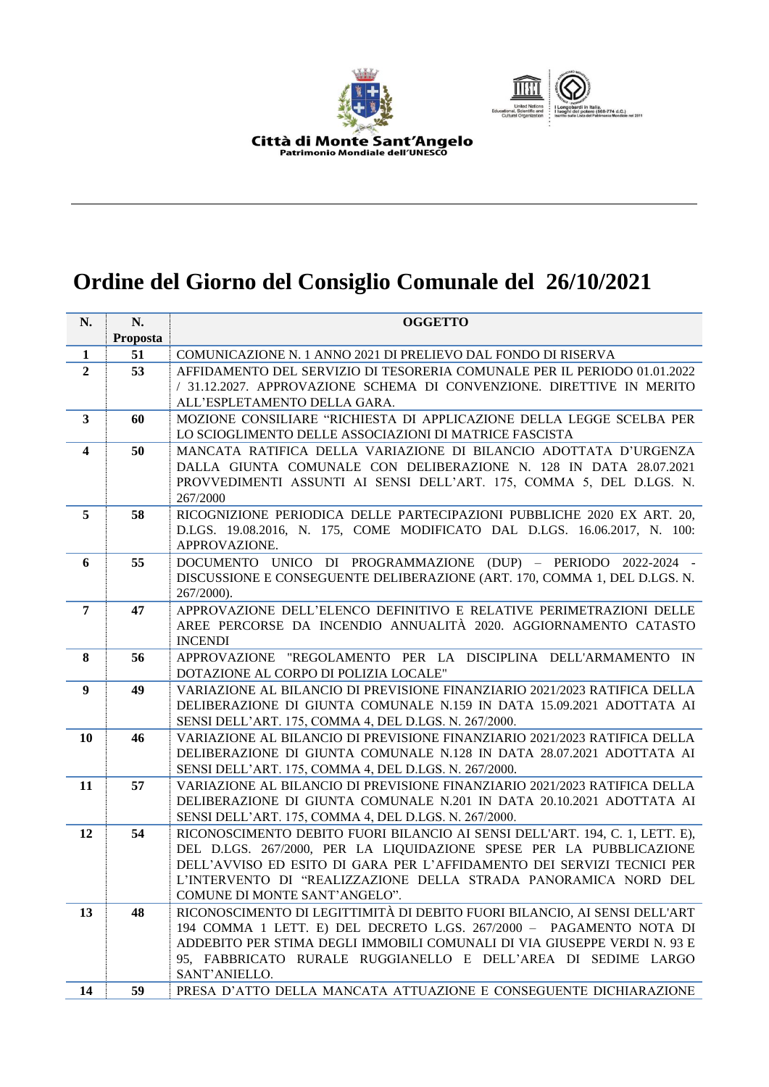



## **Ordine del Giorno del Consiglio Comunale del 26/10/2021**

| N.                      | N.       | <b>OGGETTO</b>                                                                                                                                    |
|-------------------------|----------|---------------------------------------------------------------------------------------------------------------------------------------------------|
|                         | Proposta |                                                                                                                                                   |
| $\mathbf{1}$            | 51       | COMUNICAZIONE N. 1 ANNO 2021 DI PRELIEVO DAL FONDO DI RISERVA                                                                                     |
| $\overline{2}$          | 53       | AFFIDAMENTO DEL SERVIZIO DI TESORERIA COMUNALE PER IL PERIODO 01.01.2022<br>/ 31.12.2027. APPROVAZIONE SCHEMA DI CONVENZIONE. DIRETTIVE IN MERITO |
|                         |          | ALL'ESPLETAMENTO DELLA GARA.                                                                                                                      |
| $\mathbf{3}$            | 60       | MOZIONE CONSILIARE "RICHIESTA DI APPLICAZIONE DELLA LEGGE SCELBA PER<br>LO SCIOGLIMENTO DELLE ASSOCIAZIONI DI MATRICE FASCISTA                    |
|                         | 50       | MANCATA RATIFICA DELLA VARIAZIONE DI BILANCIO ADOTTATA D'URGENZA                                                                                  |
| $\overline{\mathbf{4}}$ |          | DALLA GIUNTA COMUNALE CON DELIBERAZIONE N. 128 IN DATA 28.07.2021                                                                                 |
|                         |          | PROVVEDIMENTI ASSUNTI AI SENSI DELL'ART. 175, COMMA 5, DEL D.LGS. N.                                                                              |
|                         |          | 267/2000                                                                                                                                          |
| 5                       | 58       | RICOGNIZIONE PERIODICA DELLE PARTECIPAZIONI PUBBLICHE 2020 EX ART. 20,                                                                            |
|                         |          | D.LGS. 19.08.2016, N. 175, COME MODIFICATO DAL D.LGS. 16.06.2017, N. 100:                                                                         |
|                         |          | APPROVAZIONE.                                                                                                                                     |
| 6                       | 55       | DOCUMENTO UNICO DI PROGRAMMAZIONE (DUP) - PERIODO 2022-2024 -                                                                                     |
|                         |          | DISCUSSIONE E CONSEGUENTE DELIBERAZIONE (ART. 170, COMMA 1, DEL D.LGS. N.                                                                         |
|                         |          | 267/2000).                                                                                                                                        |
| $\overline{7}$          | 47       | APPROVAZIONE DELL'ELENCO DEFINITIVO E RELATIVE PERIMETRAZIONI DELLE                                                                               |
|                         |          | AREE PERCORSE DA INCENDIO ANNUALITÀ 2020. AGGIORNAMENTO CATASTO                                                                                   |
|                         |          | <b>INCENDI</b>                                                                                                                                    |
| 8                       | 56       | APPROVAZIONE "REGOLAMENTO PER LA DISCIPLINA DELL'ARMAMENTO IN                                                                                     |
|                         |          | DOTAZIONE AL CORPO DI POLIZIA LOCALE"                                                                                                             |
| 9                       | 49       | VARIAZIONE AL BILANCIO DI PREVISIONE FINANZIARIO 2021/2023 RATIFICA DELLA                                                                         |
|                         |          | DELIBERAZIONE DI GIUNTA COMUNALE N.159 IN DATA 15.09.2021 ADOTTATA AI                                                                             |
|                         |          | SENSI DELL'ART. 175, COMMA 4, DEL D.LGS. N. 267/2000.                                                                                             |
| 10                      | 46       | VARIAZIONE AL BILANCIO DI PREVISIONE FINANZIARIO 2021/2023 RATIFICA DELLA                                                                         |
|                         |          | DELIBERAZIONE DI GIUNTA COMUNALE N.128 IN DATA 28.07.2021 ADOTTATA AI                                                                             |
| 11                      | 57       | SENSI DELL'ART. 175, COMMA 4, DEL D.LGS. N. 267/2000.<br>VARIAZIONE AL BILANCIO DI PREVISIONE FINANZIARIO 2021/2023 RATIFICA DELLA                |
|                         |          | DELIBERAZIONE DI GIUNTA COMUNALE N.201 IN DATA 20.10.2021 ADOTTATA AI                                                                             |
|                         |          | SENSI DELL'ART. 175, COMMA 4, DEL D.LGS. N. 267/2000.                                                                                             |
| 12                      | 54       | RICONOSCIMENTO DEBITO FUORI BILANCIO AI SENSI DELL'ART. 194, C. 1, LETT. E),                                                                      |
|                         |          | DEL D.LGS. 267/2000, PER LA LIQUIDAZIONE SPESE PER LA PUBBLICAZIONE                                                                               |
|                         |          | DELL'AVVISO ED ESITO DI GARA PER L'AFFIDAMENTO DEI SERVIZI TECNICI PER                                                                            |
|                         |          | L'INTERVENTO DI "REALIZZAZIONE DELLA STRADA PANORAMICA NORD DEL                                                                                   |
|                         |          | COMUNE DI MONTE SANT'ANGELO".                                                                                                                     |
| 13                      | 48       | RICONOSCIMENTO DI LEGITTIMITÀ DI DEBITO FUORI BILANCIO, AI SENSI DELL'ART                                                                         |
|                         |          | 194 COMMA 1 LETT. E) DEL DECRETO L.GS. 267/2000 - PAGAMENTO NOTA DI                                                                               |
|                         |          | ADDEBITO PER STIMA DEGLI IMMOBILI COMUNALI DI VIA GIUSEPPE VERDI N. 93 E                                                                          |
|                         |          | 95, FABBRICATO RURALE RUGGIANELLO E DELL'AREA DI SEDIME LARGO                                                                                     |
|                         |          | SANT'ANIELLO.                                                                                                                                     |
| 14                      | 59       | PRESA D'ATTO DELLA MANCATA ATTUAZIONE E CONSEGUENTE DICHIARAZIONE                                                                                 |